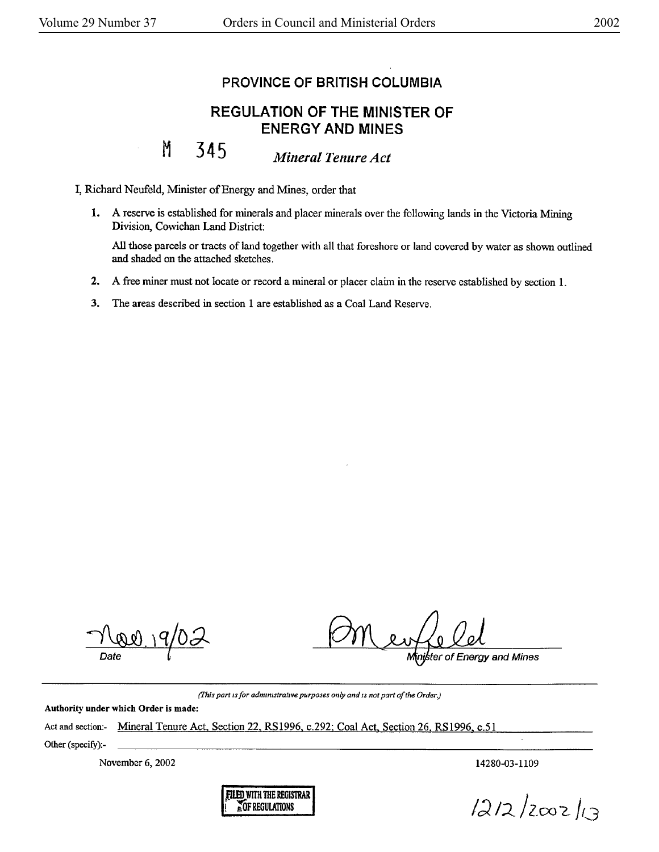## **PROVINCE OF BRITISH COLUMBIA**

## **REGULATION OF THE MINISTER OF ENERGY AND MINES**

## M **345** *Mineral Tenure Act*

I, Richard Neufeld, Minister of Energy and Mines, order that

**1. A** reserve is established for minerals and placer minerals over the following lands in the Victoria Mining Division, Cowichan Land District:

All those parcels or tracts of land together with all that foreshore or land covered by water as shown outlined and shaded on the attached sketches.

- **2.** A free miner must not locate or record a mineral or placer claim in the reserve established by section 1.
- 3. The areas described in section 1 are established as a Coal Land Reserve.

Date

ter of Energy and Mines

*(]'his part* 1s *for admrmstratrve purposei; only and ts not part of the Order.)* 

Authority under which Order is made:

Act and section:- Mineral Tenure Act, Section 22, RS1996, c.292; Coal Act, Section 26, RS1996, c.51

Other (specify):-

November 6, 2002

14280-03-1109



 $1212/2002/13$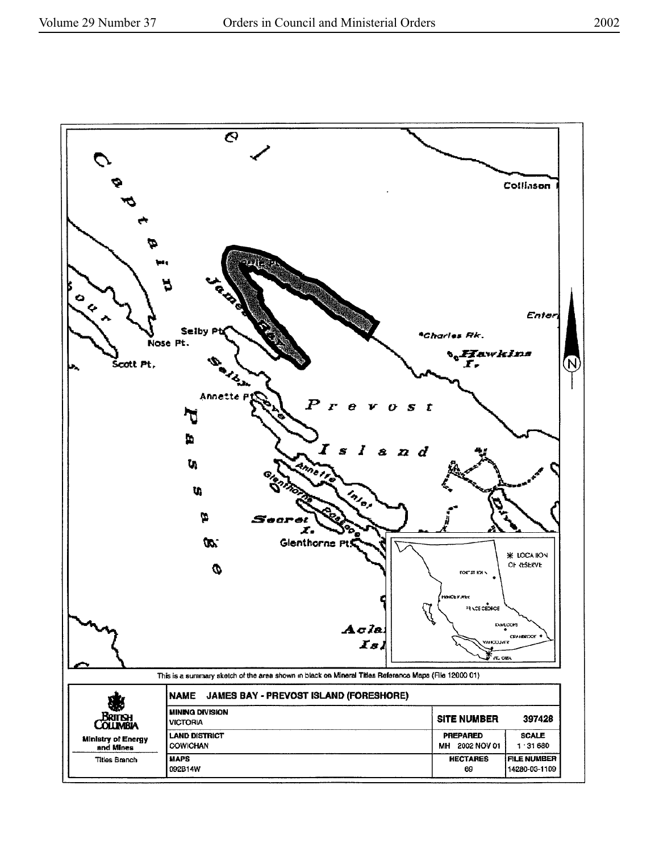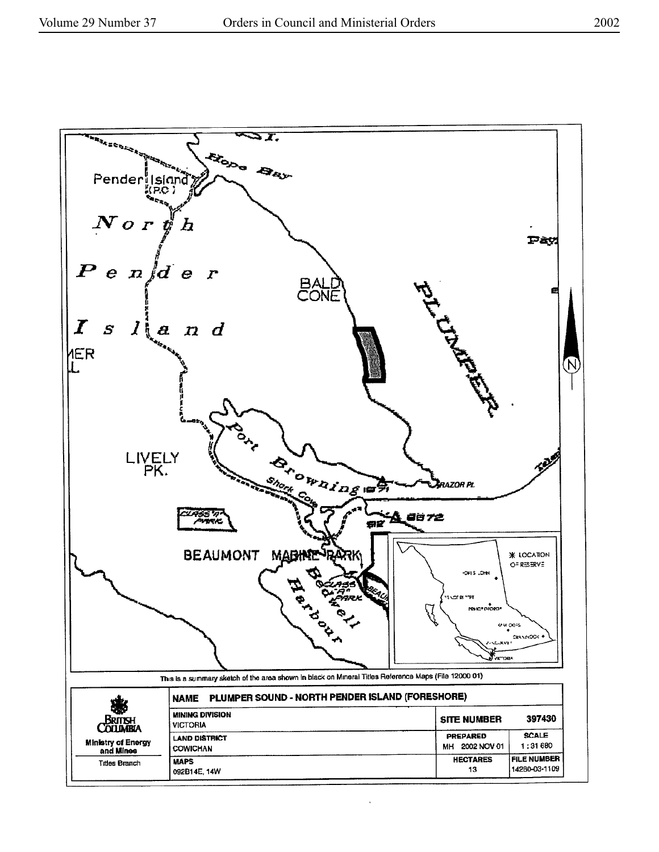